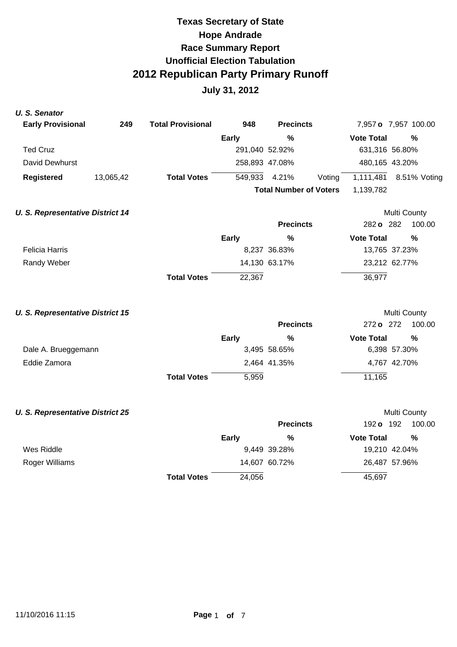| <b>U.S. Senator</b>                     |           |                          |                |                               |                     |                      |
|-----------------------------------------|-----------|--------------------------|----------------|-------------------------------|---------------------|----------------------|
| <b>Early Provisional</b>                | 249       | <b>Total Provisional</b> | 948            | <b>Precincts</b>              |                     | 7,957 o 7,957 100.00 |
|                                         |           |                          | <b>Early</b>   | $\frac{0}{0}$                 | <b>Vote Total</b>   | $\frac{0}{0}$        |
| <b>Ted Cruz</b>                         |           |                          | 291,040 52.92% |                               |                     | 631,316 56.80%       |
| David Dewhurst                          |           |                          | 258,893 47.08% |                               |                     | 480,165 43.20%       |
| <b>Registered</b>                       | 13,065,42 | <b>Total Votes</b>       | 549,933        | 4.21%                         | 1,111,481<br>Voting | 8.51% Voting         |
|                                         |           |                          |                | <b>Total Number of Voters</b> | 1,139,782           |                      |
| <b>U. S. Representative District 14</b> |           |                          |                |                               |                     | Multi County         |
|                                         |           |                          |                | <b>Precincts</b>              | 282 o 282           | 100.00               |
|                                         |           |                          | <b>Early</b>   | $\%$                          | <b>Vote Total</b>   | $\frac{0}{0}$        |
| <b>Felicia Harris</b>                   |           |                          |                | 8,237 36.83%                  |                     | 13,765 37.23%        |
| Randy Weber                             |           |                          |                | 14,130 63.17%                 |                     | 23,212 62.77%        |
|                                         |           | <b>Total Votes</b>       | 22,367         |                               | 36,977              |                      |
| <b>U. S. Representative District 15</b> |           |                          |                |                               |                     | Multi County         |
|                                         |           |                          |                | <b>Precincts</b>              | 272 o 272           | 100.00               |
|                                         |           |                          | <b>Early</b>   | $\frac{0}{0}$                 | <b>Vote Total</b>   | $\frac{0}{0}$        |
| Dale A. Brueggemann                     |           |                          |                | 3,495 58.65%                  |                     | 6,398 57.30%         |
| Eddie Zamora                            |           |                          |                | 2,464 41.35%                  |                     | 4,767 42.70%         |
|                                         |           | <b>Total Votes</b>       | 5,959          |                               | 11,165              |                      |
| <b>U. S. Representative District 25</b> |           |                          |                |                               |                     | Multi County         |
|                                         |           |                          |                | <b>Precincts</b>              | 192 o 192           | 100.00               |
|                                         |           |                          | <b>Early</b>   | %                             | <b>Vote Total</b>   | $\frac{0}{0}$        |
| Wes Riddle                              |           |                          |                | 9,449 39.28%                  |                     | 19,210 42.04%        |
| Roger Williams                          |           |                          |                | 14,607 60.72%                 |                     | 26,487 57.96%        |
|                                         |           | <b>Total Votes</b>       | 24,056         |                               | 45,697              |                      |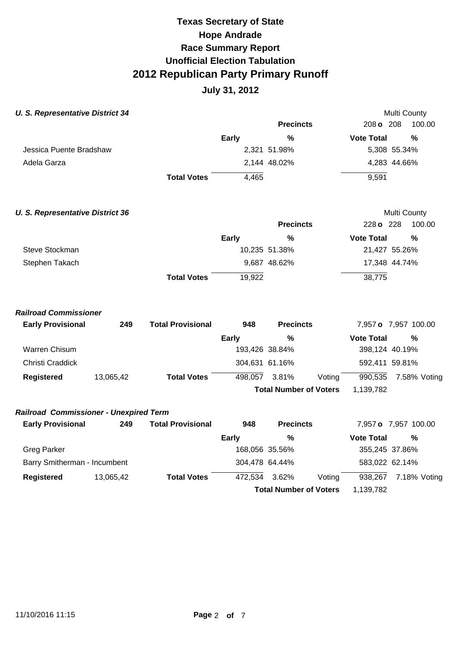| <b>U. S. Representative District 34</b>       |           |                          |                |                               |        |                   | Multi County         |
|-----------------------------------------------|-----------|--------------------------|----------------|-------------------------------|--------|-------------------|----------------------|
|                                               |           |                          |                | <b>Precincts</b>              |        | 208 o 208         | 100.00               |
|                                               |           |                          | <b>Early</b>   | $\frac{0}{0}$                 |        | <b>Vote Total</b> | $\frac{0}{0}$        |
| Jessica Puente Bradshaw                       |           |                          |                | 2,321 51.98%                  |        |                   | 5,308 55.34%         |
| Adela Garza                                   |           |                          |                | 2,144 48.02%                  |        |                   | 4,283 44.66%         |
|                                               |           | <b>Total Votes</b>       | 4,465          |                               |        | 9,591             |                      |
| <b>U. S. Representative District 36</b>       |           |                          |                |                               |        |                   | Multi County         |
|                                               |           |                          |                | <b>Precincts</b>              |        | 228 o 228         | 100.00               |
|                                               |           |                          | <b>Early</b>   | $\%$                          |        | <b>Vote Total</b> | $\%$                 |
| Steve Stockman                                |           |                          |                | 10,235 51.38%                 |        |                   | 21,427 55.26%        |
| Stephen Takach                                |           |                          |                | 9,687 48.62%                  |        |                   | 17,348 44.74%        |
|                                               |           | <b>Total Votes</b>       | 19,922         |                               |        | 38,775            |                      |
| <b>Railroad Commissioner</b>                  |           |                          |                |                               |        |                   |                      |
| <b>Early Provisional</b>                      | 249       | <b>Total Provisional</b> | 948            | <b>Precincts</b>              |        |                   | 7,957 o 7,957 100.00 |
|                                               |           |                          | <b>Early</b>   | %                             |        | <b>Vote Total</b> | %                    |
| <b>Warren Chisum</b>                          |           |                          |                | 193,426 38.84%                |        | 398,124 40.19%    |                      |
| Christi Craddick                              |           |                          | 304,631 61.16% |                               |        | 592,411 59.81%    |                      |
| <b>Registered</b>                             | 13,065,42 | <b>Total Votes</b>       | 498,057        | 3.81%                         | Voting | 990,535           | 7.58% Voting         |
|                                               |           |                          |                | <b>Total Number of Voters</b> |        | 1,139,782         |                      |
| <b>Railroad Commissioner - Unexpired Term</b> |           |                          |                |                               |        |                   |                      |
| <b>Early Provisional</b>                      | 249       | <b>Total Provisional</b> | 948            | <b>Precincts</b>              |        |                   | 7,957 o 7,957 100.00 |
|                                               |           |                          | <b>Early</b>   | $\frac{0}{0}$                 |        | <b>Vote Total</b> | $\frac{0}{0}$        |
| <b>Greg Parker</b>                            |           |                          |                | 168,056 35.56%                |        | 355,245 37.86%    |                      |
| Barry Smitherman - Incumbent                  |           |                          | 304,478 64.44% |                               |        | 583,022 62.14%    |                      |
| <b>Registered</b>                             | 13,065,42 | <b>Total Votes</b>       | 472,534        | 3.62%                         | Voting | 938,267           | 7.18% Voting         |
|                                               |           |                          |                | <b>Total Number of Voters</b> |        | 1,139,782         |                      |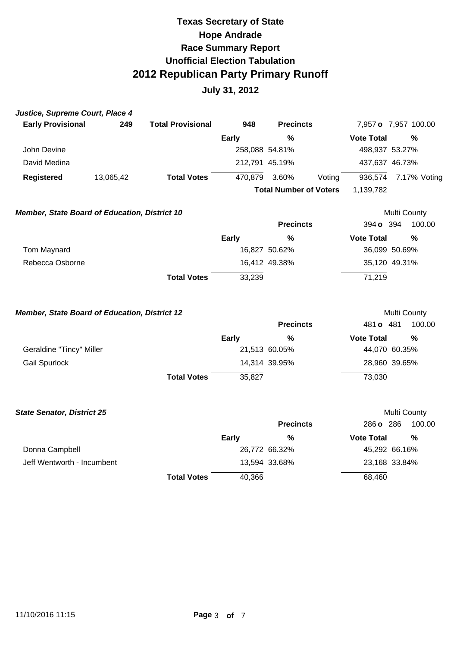| <b>Total Provisional</b> | 948                                                                                                                  | <b>Precincts</b>                | 7,957 o 7,957 100.00                                                                                                                                                                                        |
|--------------------------|----------------------------------------------------------------------------------------------------------------------|---------------------------------|-------------------------------------------------------------------------------------------------------------------------------------------------------------------------------------------------------------|
|                          | <b>Early</b>                                                                                                         | $\frac{9}{6}$                   | <b>Vote Total</b><br>%                                                                                                                                                                                      |
|                          |                                                                                                                      |                                 | 498,937 53.27%                                                                                                                                                                                              |
|                          |                                                                                                                      |                                 | 437,637 46.73%                                                                                                                                                                                              |
| <b>Total Votes</b>       |                                                                                                                      | 3.60%<br>Voting                 | 936,574<br>7.17% Voting                                                                                                                                                                                     |
|                          |                                                                                                                      |                                 | 1,139,782                                                                                                                                                                                                   |
|                          |                                                                                                                      |                                 | <b>Multi County</b>                                                                                                                                                                                         |
|                          |                                                                                                                      | <b>Precincts</b>                | 394 o 394<br>100.00                                                                                                                                                                                         |
|                          | <b>Early</b>                                                                                                         | %                               | <b>Vote Total</b><br>$\frac{0}{0}$                                                                                                                                                                          |
|                          |                                                                                                                      |                                 | 36,099 50.69%                                                                                                                                                                                               |
|                          |                                                                                                                      |                                 | 35,120 49.31%                                                                                                                                                                                               |
| <b>Total Votes</b>       | 33,239                                                                                                               |                                 | 71,219                                                                                                                                                                                                      |
|                          |                                                                                                                      |                                 | Multi County<br>481 o 481<br>100.00                                                                                                                                                                         |
|                          |                                                                                                                      |                                 |                                                                                                                                                                                                             |
|                          |                                                                                                                      |                                 | <b>Vote Total</b><br>$\frac{0}{0}$<br>44,070 60.35%                                                                                                                                                         |
|                          |                                                                                                                      |                                 | 28,960 39.65%                                                                                                                                                                                               |
|                          |                                                                                                                      |                                 |                                                                                                                                                                                                             |
|                          |                                                                                                                      |                                 | 73,030                                                                                                                                                                                                      |
|                          |                                                                                                                      |                                 | Multi County                                                                                                                                                                                                |
|                          |                                                                                                                      | <b>Precincts</b>                | 286 o 286<br>100.00                                                                                                                                                                                         |
|                          |                                                                                                                      | $\frac{0}{0}$                   | <b>Vote Total</b><br>$\frac{0}{0}$                                                                                                                                                                          |
|                          |                                                                                                                      |                                 | 45,292 66.16%                                                                                                                                                                                               |
|                          |                                                                                                                      |                                 | 23,168 33.84%                                                                                                                                                                                               |
| <b>Total Votes</b>       | 40,366                                                                                                               |                                 | 68,460                                                                                                                                                                                                      |
|                          | Member, State Board of Education, District 10<br>Member, State Board of Education, District 12<br><b>Total Votes</b> | Early<br>35,827<br><b>Early</b> | 258,088 54.81%<br>212,791 45.19%<br>470,879<br><b>Total Number of Voters</b><br>16,827 50.62%<br>16,412 49.38%<br><b>Precincts</b><br>%<br>21,513 60.05%<br>14,314 39.95%<br>26,772 66.32%<br>13,594 33.68% |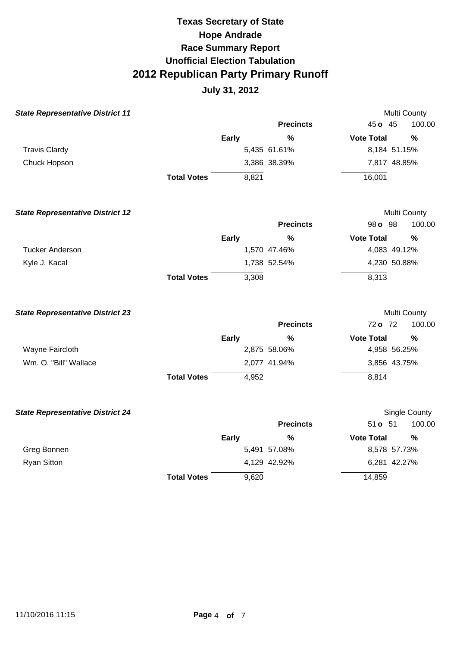| <b>State Representative District 11</b> |                    |              |                  | Multi County      |               |
|-----------------------------------------|--------------------|--------------|------------------|-------------------|---------------|
|                                         |                    |              | <b>Precincts</b> | 45 o 45           | 100.00        |
|                                         |                    | <b>Early</b> | $\%$             | <b>Vote Total</b> | %             |
| <b>Travis Clardy</b>                    |                    |              | 5,435 61.61%     | 8,184 51.15%      |               |
| Chuck Hopson                            |                    |              | 3,386 38.39%     | 7,817 48.85%      |               |
|                                         | <b>Total Votes</b> | 8,821        |                  | 16,001            |               |
| <b>State Representative District 12</b> |                    |              |                  | Multi County      |               |
|                                         |                    |              | <b>Precincts</b> | 98 o 98           | 100.00        |
|                                         |                    | <b>Early</b> | $\frac{0}{0}$    | <b>Vote Total</b> | $\frac{0}{0}$ |
| <b>Tucker Anderson</b>                  |                    |              | 1,570 47.46%     | 4,083 49.12%      |               |
| Kyle J. Kacal                           |                    |              | 1,738 52.54%     | 4,230 50.88%      |               |
|                                         | <b>Total Votes</b> | 3,308        |                  | 8,313             |               |
| <b>State Representative District 23</b> |                    |              |                  | Multi County      |               |
|                                         |                    |              | <b>Precincts</b> | 72 o 72           | 100.00        |
|                                         |                    | <b>Early</b> | %                | <b>Vote Total</b> | %             |
| Wayne Faircloth                         |                    |              | 2,875 58.06%     | 4,958 56.25%      |               |
| Wm. O. "Bill" Wallace                   |                    |              | 2,077 41.94%     | 3,856 43.75%      |               |
|                                         | <b>Total Votes</b> | 4,952        |                  | 8,814             |               |
| <b>State Representative District 24</b> |                    |              |                  |                   | Single County |
|                                         |                    |              | <b>Precincts</b> | 51 <b>o</b> 51    | 100.00        |
|                                         |                    | <b>Early</b> | %                | <b>Vote Total</b> | $\frac{0}{0}$ |
| Greg Bonnen                             |                    |              | 5,491 57.08%     | 8,578 57.73%      |               |
| <b>Ryan Sitton</b>                      |                    |              | 4,129 42.92%     | 6,281 42.27%      |               |
|                                         | <b>Total Votes</b> | 9,620        |                  | 14,859            |               |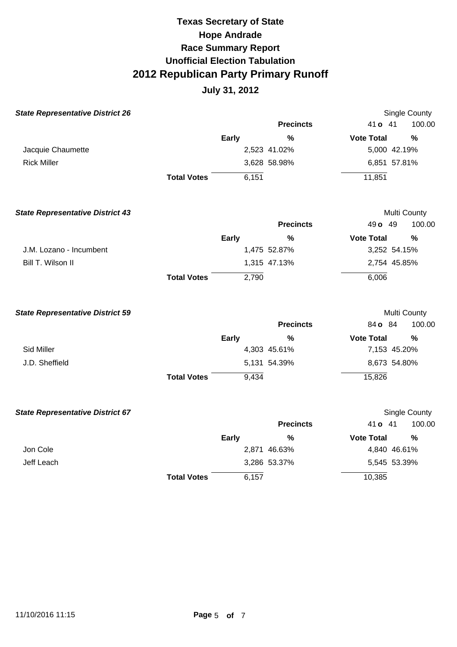| <b>State Representative District 26</b> |                    |              |                  |                   | <b>Single County</b> |
|-----------------------------------------|--------------------|--------------|------------------|-------------------|----------------------|
|                                         |                    |              | <b>Precincts</b> | 41 o 41           | 100.00               |
|                                         |                    | <b>Early</b> | $\%$             | <b>Vote Total</b> | $\%$                 |
| Jacquie Chaumette                       |                    |              | 2,523 41.02%     | 5,000 42.19%      |                      |
| <b>Rick Miller</b>                      |                    |              | 3,628 58.98%     | 6,851 57.81%      |                      |
|                                         | <b>Total Votes</b> | 6,151        |                  | 11,851            |                      |
| <b>State Representative District 43</b> |                    |              |                  |                   | Multi County         |
|                                         |                    |              | <b>Precincts</b> | 49 o 49           | 100.00               |
|                                         |                    | Early        | $\frac{0}{0}$    | <b>Vote Total</b> | $\frac{0}{0}$        |
| J.M. Lozano - Incumbent                 |                    |              | 1,475 52.87%     | 3,252 54.15%      |                      |
| Bill T. Wilson II                       |                    |              | 1,315 47.13%     | 2,754 45.85%      |                      |
|                                         | <b>Total Votes</b> | 2,790        |                  | 6,006             |                      |
| <b>State Representative District 59</b> |                    |              |                  |                   | Multi County         |
|                                         |                    |              | <b>Precincts</b> | 84 o 84           | 100.00               |
|                                         |                    | <b>Early</b> | $\frac{0}{0}$    | <b>Vote Total</b> | %                    |
| Sid Miller                              |                    |              | 4,303 45.61%     | 7,153 45.20%      |                      |
| J.D. Sheffield                          |                    |              | 5,131 54.39%     | 8,673 54.80%      |                      |
|                                         | <b>Total Votes</b> | 9,434        |                  | 15,826            |                      |
| <b>State Representative District 67</b> |                    |              |                  |                   | Single County        |
|                                         |                    |              | <b>Precincts</b> | 41 o 41           | 100.00               |
|                                         |                    | Early        | %                | <b>Vote Total</b> | %                    |
| Jon Cole                                |                    |              | 2,871 46.63%     | 4,840 46.61%      |                      |
| Jeff Leach                              |                    |              | 3,286 53.37%     | 5,545 53.39%      |                      |
|                                         | <b>Total Votes</b> | 6,157        |                  | 10,385            |                      |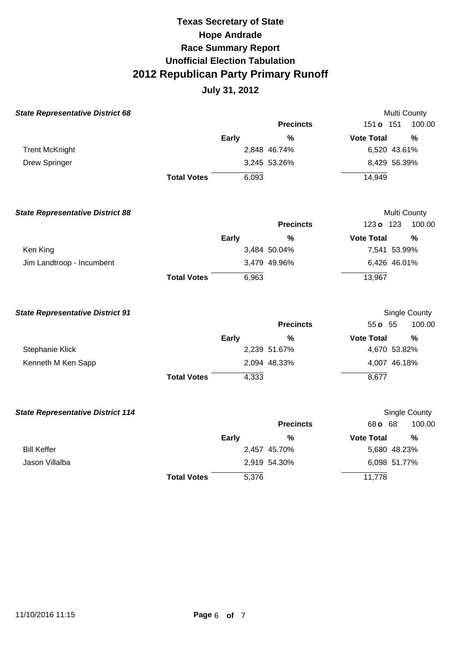| <b>State Representative District 68</b>  |                    |              |                  | Multi County                       |        |
|------------------------------------------|--------------------|--------------|------------------|------------------------------------|--------|
|                                          |                    |              | <b>Precincts</b> | 151 <b>o</b> 151                   | 100.00 |
|                                          |                    | <b>Early</b> | $\frac{0}{0}$    | <b>Vote Total</b><br>%             |        |
| <b>Trent McKnight</b>                    |                    |              | 2,848 46.74%     | 6,520 43.61%                       |        |
| <b>Drew Springer</b>                     |                    |              | 3,245 53.26%     | 8,429 56.39%                       |        |
|                                          | <b>Total Votes</b> | 6,093        |                  | 14,949                             |        |
| <b>State Representative District 88</b>  |                    |              |                  | Multi County                       |        |
|                                          |                    |              | <b>Precincts</b> | 123 o 123                          | 100.00 |
|                                          |                    | <b>Early</b> | $\frac{9}{6}$    | <b>Vote Total</b><br>$\frac{9}{6}$ |        |
| Ken King                                 |                    |              | 3,484 50.04%     | 7,541 53.99%                       |        |
| Jim Landtroop - Incumbent                |                    |              | 3,479 49.96%     | 6,426 46.01%                       |        |
|                                          | <b>Total Votes</b> | 6,963        |                  | 13,967                             |        |
| <b>State Representative District 91</b>  |                    |              |                  | Single County                      |        |
|                                          |                    |              | <b>Precincts</b> | 55 o 55                            | 100.00 |
|                                          |                    | <b>Early</b> | $\frac{0}{0}$    | <b>Vote Total</b><br>$\frac{0}{0}$ |        |
| Stephanie Klick                          |                    |              | 2,239 51.67%     | 4,670 53.82%                       |        |
| Kenneth M Ken Sapp                       |                    |              | 2,094 48.33%     | 4,007 46.18%                       |        |
|                                          | <b>Total Votes</b> | 4,333        |                  | 8,677                              |        |
| <b>State Representative District 114</b> |                    |              |                  | Single County                      |        |
|                                          |                    |              | <b>Precincts</b> | 68 o 68                            | 100.00 |
|                                          |                    | <b>Early</b> | $\frac{0}{0}$    | <b>Vote Total</b><br>$\frac{9}{6}$ |        |
| <b>Bill Keffer</b>                       |                    |              | 2,457 45.70%     | 5,680 48.23%                       |        |
| Jason Villalba                           |                    |              | 2,919 54.30%     | 6,098 51.77%                       |        |
|                                          | <b>Total Votes</b> | 5,376        |                  | 11,778                             |        |